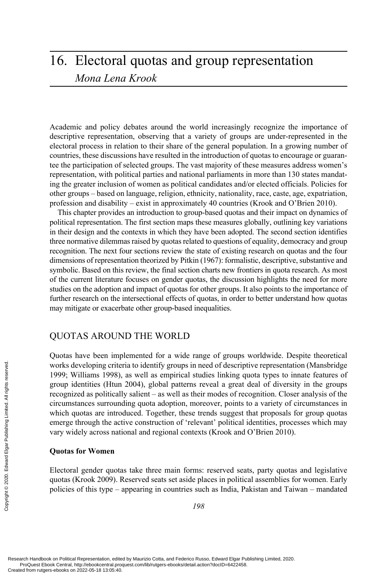# 16. Electoral quotas and group representation *Mona Lena Krook*

Academic and policy debates around the world increasingly recognize the importance of descriptive representation, observing that a variety of groups are under-represented in the electoral process in relation to their share of the general population. In a growing number of countries, these discussions have resulted in the introduction of quotas to encourage or guarantee the participation of selected groups. The vast majority of these measures address women's representation, with political parties and national parliaments in more than 130 states mandating the greater inclusion of women as political candidates and/or elected officials. Policies for other groups – based on language, religion, ethnicity, nationality, race, caste, age, expatriation, profession and disability – exist in approximately 40 countries (Krook and O'Brien 2010).

This chapter provides an introduction to group-based quotas and their impact on dynamics of political representation. The first section maps these measures globally, outlining key variations in their design and the contexts in which they have been adopted. The second section identifies three normative dilemmas raised by quotas related to questions of equality, democracy and group recognition. The next four sections review the state of existing research on quotas and the four dimensions of representation theorized by Pitkin (1967): formalistic, descriptive, substantive and symbolic. Based on this review, the final section charts new frontiers in quota research. As most of the current literature focuses on gender quotas, the discussion highlights the need for more studies on the adoption and impact of quotas for other groups. It also points to the importance of further research on the intersectional effects of quotas, in order to better understand how quotas may mitigate or exacerbate other group-based inequalities.

### QUOTAS AROUND THE WORLD

Quotas have been implemented for a wide range of groups worldwide. Despite theoretical works developing criteria to identify groups in need of descriptive representation (Mansbridge 1999; Williams 1998), as well as empirical studies linking quota types to innate features of group identities (Htun 2004), global patterns reveal a great deal of diversity in the groups recognized as politically salient – as well as their modes of recognition. Closer analysis of the circumstances surrounding quota adoption, moreover, points to a variety of circumstances in which quotas are introduced. Together, these trends suggest that proposals for group quotas emerge through the active construction of 'relevant' political identities, processes which may vary widely across national and regional contexts (Krook and O'Brien 2010). Works developing crite<br>
1999; Williams 1998),<br>
group identities (Htun<br>
recognized as politicall<br>
circumstances surrounn<br>
which quotas are intro<br>
emerge through the act<br>
vary widely across nati<br>
Quotas for Women<br>
Electoral

#### **Quotas for Women**

Electoral gender quotas take three main forms: reserved seats, party quotas and legislative quotas (Krook 2009). Reserved seats set aside places in political assemblies for women. Early policies of this type – appearing in countries such as India, Pakistan and Taiwan – mandated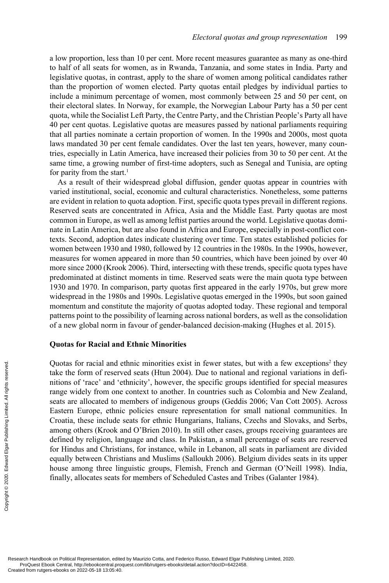a low proportion, less than 10 per cent. More recent measures guarantee as many as one-third to half of all seats for women, as in Rwanda, Tanzania, and some states in India. Party and legislative quotas, in contrast, apply to the share of women among political candidates rather than the proportion of women elected. Party quotas entail pledges by individual parties to include a minimum percentage of women, most commonly between 25 and 50 per cent, on their electoral slates. In Norway, for example, the Norwegian Labour Party has a 50 per cent quota, while the Socialist Left Party, the Centre Party, and the Christian People's Party all have 40 per cent quotas. Legislative quotas are measures passed by national parliaments requiring that all parties nominate a certain proportion of women. In the 1990s and 2000s, most quota laws mandated 30 per cent female candidates. Over the last ten years, however, many countries, especially in Latin America, have increased their policies from 30 to 50 per cent. At the same time, a growing number of first-time adopters, such as Senegal and Tunisia, are opting for parity from the start.<sup>1</sup>

As a result of their widespread global diffusion, gender quotas appear in countries with varied institutional, social, economic and cultural characteristics. Nonetheless, some patterns are evident in relation to quota adoption. First, specific quota types prevail in different regions. Reserved seats are concentrated in Africa, Asia and the Middle East. Party quotas are most common in Europe, as well as among leftist parties around the world. Legislative quotas dominate in Latin America, but are also found in Africa and Europe, especially in post-conflict contexts. Second, adoption dates indicate clustering over time. Ten states established policies for women between 1930 and 1980, followed by 12 countries in the 1980s. In the 1990s, however, measures for women appeared in more than 50 countries, which have been joined by over 40 more since 2000 (Krook 2006). Third, intersecting with these trends, specific quota types have predominated at distinct moments in time. Reserved seats were the main quota type between 1930 and 1970. In comparison, party quotas first appeared in the early 1970s, but grew more widespread in the 1980s and 1990s. Legislative quotas emerged in the 1990s, but soon gained momentum and constitute the majority of quotas adopted today. These regional and temporal patterns point to the possibility of learning across national borders, as well as the consolidation of a new global norm in favour of gender-balanced decision-making (Hughes et al. 2015).

#### **Quotas for Racial and Ethnic Minorities**

Quotas for racial and ethnic minorities exist in fewer states, but with a few exceptions<sup>2</sup> they take the form of reserved seats (Htun 2004). Due to national and regional variations in definitions of 'race' and 'ethnicity', however, the specific groups identified for special measures range widely from one context to another. In countries such as Colombia and New Zealand, seats are allocated to members of indigenous groups (Geddis 2006; Van Cott 2005). Across Eastern Europe, ethnic policies ensure representation for small national communities. In Croatia, these include seats for ethnic Hungarians, Italians, Czechs and Slovaks, and Serbs, among others (Krook and O'Brien 2010). In still other cases, groups receiving guarantees are defined by religion, language and class. In Pakistan, a small percentage of seats are reserved for Hindus and Christians, for instance, while in Lebanon, all seats in parliament are divided equally between Christians and Muslims (Salloukh 2006). Belgium divides seats in its upper house among three linguistic groups, Flemish, French and German (O'Neill 1998). India, finally, allocates seats for members of Scheduled Castes and Tribes (Galanter 1984). Created from rutgers-ebooks on Political Representation, edite<br>Created from rutgers-ebooks on 2022-05-18 13:05:40.<br>Created from rutgers-ebooks on 2022-05-18 13:05:40.<br>Created from rutgers-ebooks on 2022-05-18 13:05:40.<br>Cre

Research Handbook on Political Representation, edited by Maurizio Cotta, and Federico Russo, Edward Elgar Publishing Limited, 2020. ProQuest Ebook Central, http://ebookcentral.proquest.com/lib/rutgers-ebooks/detail.action?docID=6422458.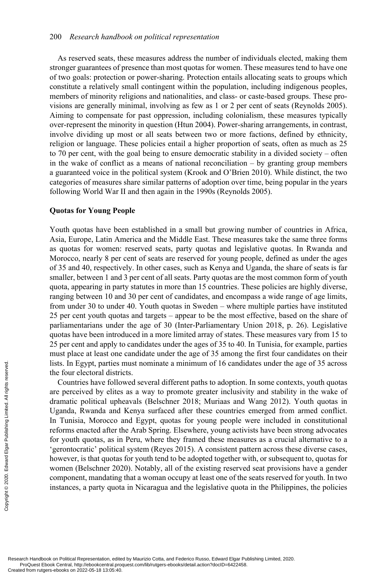As reserved seats, these measures address the number of individuals elected, making them stronger guarantees of presence than most quotas for women. These measures tend to have one of two goals: protection or power-sharing. Protection entails allocating seats to groups which constitute a relatively small contingent within the population, including indigenous peoples, members of minority religions and nationalities, and class- or caste-based groups. These provisions are generally minimal, involving as few as 1 or 2 per cent of seats (Reynolds 2005). Aiming to compensate for past oppression, including colonialism, these measures typically over-represent the minority in question (Htun 2004). Power-sharing arrangements, in contrast, involve dividing up most or all seats between two or more factions, defined by ethnicity, religion or language. These policies entail a higher proportion of seats, often as much as 25 to 70 per cent, with the goal being to ensure democratic stability in a divided society – often in the wake of conflict as a means of national reconciliation  $-$  by granting group members a guaranteed voice in the political system (Krook and O'Brien 2010). While distinct, the two categories of measures share similar patterns of adoption over time, being popular in the years following World War II and then again in the 1990s (Reynolds 2005).

#### **Quotas for Young People**

Youth quotas have been established in a small but growing number of countries in Africa, Asia, Europe, Latin America and the Middle East. These measures take the same three forms as quotas for women: reserved seats, party quotas and legislative quotas. In Rwanda and Morocco, nearly 8 per cent of seats are reserved for young people, defined as under the ages of 35 and 40, respectively. In other cases, such as Kenya and Uganda, the share of seats is far smaller, between 1 and 3 per cent of all seats. Party quotas are the most common form of youth quota, appearing in party statutes in more than 15 countries. These policies are highly diverse, ranging between 10 and 30 per cent of candidates, and encompass a wide range of age limits, from under 30 to under 40. Youth quotas in Sweden – where multiple parties have instituted 25 per cent youth quotas and targets – appear to be the most effective, based on the share of parliamentarians under the age of 30 (Inter-Parliamentary Union 2018, p. 26). Legislative quotas have been introduced in a more limited array of states. These measures vary from 15 to 25 per cent and apply to candidates under the ages of 35 to 40. In Tunisia, for example, parties must place at least one candidate under the age of 35 among the first four candidates on their lists. In Egypt, parties must nominate a minimum of 16 candidates under the age of 35 across the four electoral districts.

Countries have followed several different paths to adoption. In some contexts, youth quotas are perceived by elites as a way to promote greater inclusivity and stability in the wake of dramatic political upheavals (Belschner 2018; Muriaas and Wang 2012). Youth quotas in Uganda, Rwanda and Kenya surfaced after these countries emerged from armed conflict. In Tunisia, Morocco and Egypt, quotas for young people were included in constitutional reforms enacted after the Arab Spring. Elsewhere, young activists have been strong advocates for youth quotas, as in Peru, where they framed these measures as a crucial alternative to a 'gerontocratic' political system (Reyes 2015). A consistent pattern across these diverse cases, however, is that quotas for youth tend to be adopted together with, or subsequent to, quotas for women (Belschner 2020). Notably, all of the existing reserved seat provisions have a gender component, mandating that a woman occupy at least one of the seats reserved for youth. In two instances, a party quota in Nicaragua and the legislative quota in the Philippines, the policies Examples are the four electoral distringuished from rutgers-ebooks on 2022-05-18 13:05:40. Created from rutgers-ebooks on 2022-05-18 13:05:40. Created from rutgers-ebooks on 2022-05-18 13:05:40. Created from rutgers-ebooks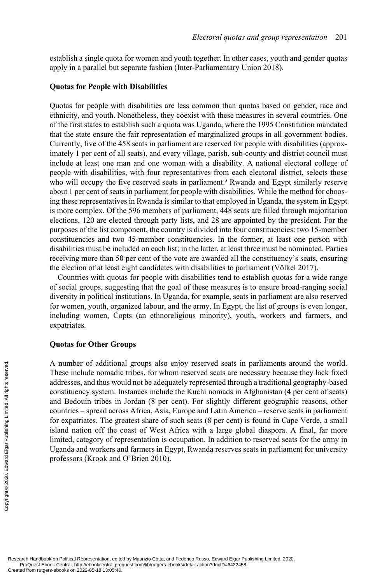establish a single quota for women and youth together. In other cases, youth and gender quotas apply in a parallel but separate fashion (Inter-Parliamentary Union 2018).

#### **Quotas for People with Disabilities**

Quotas for people with disabilities are less common than quotas based on gender, race and ethnicity, and youth. Nonetheless, they coexist with these measures in several countries. One of the first states to establish such a quota was Uganda, where the 1995 Constitution mandated that the state ensure the fair representation of marginalized groups in all government bodies. Currently, five of the 458 seats in parliament are reserved for people with disabilities (approximately 1 per cent of all seats), and every village, parish, sub-county and district council must include at least one man and one woman with a disability. A national electoral college of people with disabilities, with four representatives from each electoral district, selects those who will occupy the five reserved seats in parliament.<sup>3</sup> Rwanda and Egypt similarly reserve about 1 per cent of seats in parliament for people with disabilities. While the method for choosing these representatives in Rwanda is similar to that employed in Uganda, the system in Egypt is more complex. Of the 596 members of parliament, 448 seats are filled through majoritarian elections, 120 are elected through party lists, and 28 are appointed by the president. For the purposes of the list component, the country is divided into four constituencies: two 15-member constituencies and two 45-member constituencies. In the former, at least one person with disabilities must be included on each list; in the latter, at least three must be nominated. Parties receiving more than 50 per cent of the vote are awarded all the constituency's seats, ensuring the election of at least eight candidates with disabilities to parliament (Völkel 2017).

Countries with quotas for people with disabilities tend to establish quotas for a wide range of social groups, suggesting that the goal of these measures is to ensure broad-ranging social diversity in political institutions. In Uganda, for example, seats in parliament are also reserved for women, youth, organized labour, and the army. In Egypt, the list of groups is even longer, including women, Copts (an ethnoreligious minority), youth, workers and farmers, and expatriates.

#### **Quotas for Other Groups**

A number of additional groups also enjoy reserved seats in parliaments around the world. These include nomadic tribes, for whom reserved seats are necessary because they lack fixed addresses, and thus would not be adequately represented through a traditional geography-based constituency system. Instances include the Kuchi nomads in Afghanistan (4 per cent of seats) and Bedouin tribes in Jordan (8 per cent). For slightly different geographic reasons, other countries – spread across Africa, Asia, Europe and Latin America – reserve seats in parliament for expatriates. The greatest share of such seats (8 per cent) is found in Cape Verde, a small island nation off the coast of West Africa with a large global diaspora. A final, far more limited, category of representation is occupation. In addition to reserved seats for the army in Uganda and workers and farmers in Egypt, Rwanda reserves seats in parliament for university professors (Krook and O'Brien 2010). Examples and thus worker of additional<br>
Examples include nomadic<br>
addresses, and thus worker<br>
constituency system. In<br>
and Bedouin tribes in<br>
countries – spread acro<br>
for expatriates. The grid<br>
limited, category of rep<br>
Ug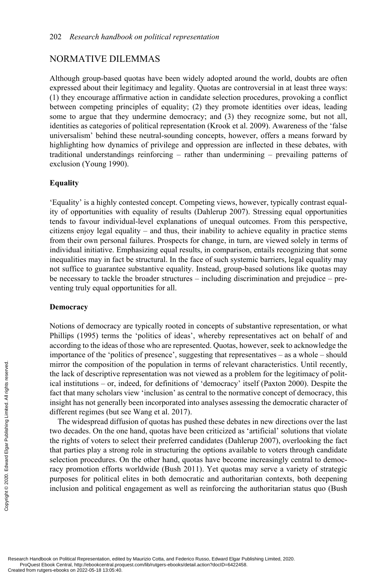# NORMATIVE DILEMMAS

Although group-based quotas have been widely adopted around the world, doubts are often expressed about their legitimacy and legality. Quotas are controversial in at least three ways: (1) they encourage affirmative action in candidate selection procedures, provoking a conflict between competing principles of equality; (2) they promote identities over ideas, leading some to argue that they undermine democracy; and (3) they recognize some, but not all, identities as categories of political representation (Krook et al. 2009). Awareness of the 'false universalism' behind these neutral-sounding concepts, however, offers a means forward by highlighting how dynamics of privilege and oppression are inflected in these debates, with traditional understandings reinforcing – rather than undermining – prevailing patterns of exclusion (Young 1990).

#### **Equality**

'Equality' is a highly contested concept. Competing views, however, typically contrast equality of opportunities with equality of results (Dahlerup 2007). Stressing equal opportunities tends to favour individual-level explanations of unequal outcomes. From this perspective, citizens enjoy legal equality – and thus, their inability to achieve equality in practice stems from their own personal failures. Prospects for change, in turn, are viewed solely in terms of individual initiative. Emphasizing equal results, in comparison, entails recognizing that some inequalities may in fact be structural. In the face of such systemic barriers, legal equality may not suffice to guarantee substantive equality. Instead, group-based solutions like quotas may be necessary to tackle the broader structures – including discrimination and prejudice – preventing truly equal opportunities for all.

#### **Democracy**

Notions of democracy are typically rooted in concepts of substantive representation, or what Phillips (1995) terms the 'politics of ideas', whereby representatives act on behalf of and according to the ideas of those who are represented. Quotas, however, seek to acknowledge the importance of the 'politics of presence', suggesting that representatives – as a whole – should mirror the composition of the population in terms of relevant characteristics. Until recently, the lack of descriptive representation was not viewed as a problem for the legitimacy of political institutions – or, indeed, for definitions of 'democracy' itself (Paxton 2000). Despite the fact that many scholars view 'inclusion' as central to the normative concept of democracy, this insight has not generally been incorporated into analyses assessing the democratic character of different regimes (but see Wang et al. 2017).

The widespread diffusion of quotas has pushed these debates in new directions over the last two decades. On the one hand, quotas have been criticized as 'artificial' solutions that violate the rights of voters to select their preferred candidates (Dahlerup 2007), overlooking the fact that parties play a strong role in structuring the options available to voters through candidate selection procedures. On the other hand, quotas have become increasingly central to democracy promotion efforts worldwide (Bush 2011). Yet quotas may serve a variety of strategic purposes for political elites in both democratic and authoritarian contexts, both deepening inclusion and political engagement as well as reinforcing the authoritarian status quo (Bush Produced from rutgers-ebooks on Political Representation, edite<br>Created from rutgers-ebooks on 2022-05-18 13:05:40.<br>Created from rutgers-ebooks on 2022-05-18 13:05:40.<br>Created from rutgers-ebooks on 2022-05-18 13:05:40.<br>Cr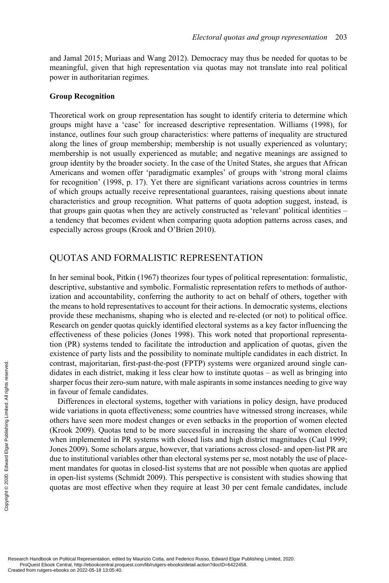and Jamal 2015; Muriaas and Wang 2012). Democracy may thus be needed for quotas to be meaningful, given that high representation via quotas may not translate into real political power in authoritarian regimes.

#### **Group Recognition**

Theoretical work on group representation has sought to identify criteria to determine which groups might have a 'case' for increased descriptive representation. Williams (1998), for instance, outlines four such group characteristics: where patterns of inequality are structured along the lines of group membership; membership is not usually experienced as voluntary; membership is not usually experienced as mutable; and negative meanings are assigned to group identity by the broader society. In the case of the United States, she argues that African Americans and women offer 'paradigmatic examples' of groups with 'strong moral claims for recognition' (1998, p. 17). Yet there are significant variations across countries in terms of which groups actually receive representational guarantees, raising questions about innate characteristics and group recognition. What patterns of quota adoption suggest, instead, is that groups gain quotas when they are actively constructed as 'relevant' political identities – a tendency that becomes evident when comparing quota adoption patterns across cases, and especially across groups (Krook and O'Brien 2010).

# QUOTAS AND FORMALISTIC REPRESENTATION

In her seminal book, Pitkin (1967) theorizes four types of political representation: formalistic, descriptive, substantive and symbolic. Formalistic representation refers to methods of authorization and accountability, conferring the authority to act on behalf of others, together with the means to hold representatives to account for their actions. In democratic systems, elections provide these mechanisms, shaping who is elected and re-elected (or not) to political office. Research on gender quotas quickly identified electoral systems as a key factor influencing the effectiveness of these policies (Jones 1998). This work noted that proportional representation (PR) systems tended to facilitate the introduction and application of quotas, given the existence of party lists and the possibility to nominate multiple candidates in each district. In contrast, majoritarian, first-past-the-post (FPTP) systems were organized around single candidates in each district, making it less clear how to institute quotas – as well as bringing into sharper focus their zero-sum nature, with male aspirants in some instances needing to give way in favour of female candidates.

Differences in electoral systems, together with variations in policy design, have produced wide variations in quota effectiveness; some countries have witnessed strong increases, while others have seen more modest changes or even setbacks in the proportion of women elected (Krook 2009). Quotas tend to be more successful in increasing the share of women elected when implemented in PR systems with closed lists and high district magnitudes (Caul 1999; Jones 2009). Some scholars argue, however, that variations across closed- and open-list PR are due to institutional variables other than electoral systems per se, most notably the use of placement mandates for quotas in closed-list systems that are not possible when quotas are applied in open-list systems (Schmidt 2009). This perspective is consistent with studies showing that quotas are most effective when they require at least 30 per cent female candidates, include Contrast, majoritarian,<br>
didates in each district<br>
sharper focus their zerc<br>
in favour of female car<br>
Differences in elect<br>
wide variations in quot<br>
others have seen more<br>
(Krook 2009). Quotas<br>
when implemented in<br>
Jones 2

Research Handbook on Political Representation, edited by Maurizio Cotta, and Federico Russo, Edward Elgar Publishing Limited, 2020. ProQuest Ebook Central, http://ebookcentral.proquest.com/lib/rutgers-ebooks/detail.action?docID=6422458.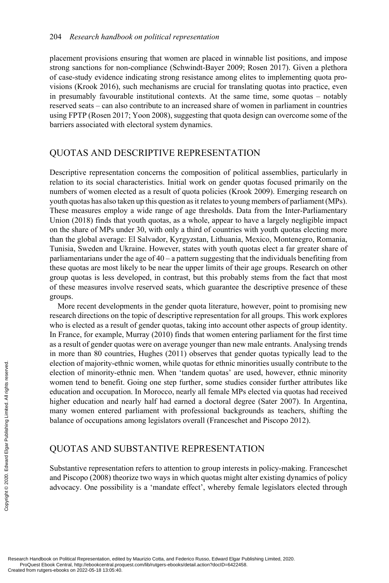placement provisions ensuring that women are placed in winnable list positions, and impose strong sanctions for non-compliance (Schwindt-Bayer 2009; Rosen 2017). Given a plethora of case-study evidence indicating strong resistance among elites to implementing quota provisions (Krook 2016), such mechanisms are crucial for translating quotas into practice, even in presumably favourable institutional contexts. At the same time, some quotas – notably reserved seats – can also contribute to an increased share of women in parliament in countries using FPTP (Rosen 2017; Yoon 2008), suggesting that quota design can overcome some of the barriers associated with electoral system dynamics.

# QUOTAS AND DESCRIPTIVE REPRESENTATION

Descriptive representation concerns the composition of political assemblies, particularly in relation to its social characteristics. Initial work on gender quotas focused primarily on the numbers of women elected as a result of quota policies (Krook 2009). Emerging research on youth quotas has also taken up this question as it relates to young members of parliament (MPs). These measures employ a wide range of age thresholds. Data from the Inter-Parliamentary Union (2018) finds that youth quotas, as a whole, appear to have a largely negligible impact on the share of MPs under 30, with only a third of countries with youth quotas electing more than the global average: El Salvador, Kyrgyzstan, Lithuania, Mexico, Montenegro, Romania, Tunisia, Sweden and Ukraine. However, states with youth quotas elect a far greater share of parliamentarians under the age of  $40 - a$  pattern suggesting that the individuals benefiting from these quotas are most likely to be near the upper limits of their age groups. Research on other group quotas is less developed, in contrast, but this probably stems from the fact that most of these measures involve reserved seats, which guarantee the descriptive presence of these groups.

More recent developments in the gender quota literature, however, point to promising new research directions on the topic of descriptive representation for all groups. This work explores who is elected as a result of gender quotas, taking into account other aspects of group identity. In France, for example, Murray (2010) finds that women entering parliament for the first time as a result of gender quotas were on average younger than new male entrants. Analysing trends in more than 80 countries, Hughes (2011) observes that gender quotas typically lead to the election of majority-ethnic women, while quotas for ethnic minorities usually contribute to the election of minority-ethnic men. When 'tandem quotas' are used, however, ethnic minority women tend to benefit. Going one step further, some studies consider further attributes like education and occupation. In Morocco, nearly all female MPs elected via quotas had received higher education and nearly half had earned a doctoral degree (Sater 2007). In Argentina, many women entered parliament with professional backgrounds as teachers, shifting the balance of occupations among legislators overall (Franceschet and Piscopo 2012). Exerged from rutgers-ebooks on Political Representation, edite<br>
Created from rutgers-ebooks on 2022-05-18 13:05:40.<br>
Created from rutgers-ebooks on 2022-05-18 13:05:40.<br>
Created from rutgers-ebooks on 2022-05-18 13:05:40.<br>

# QUOTAS AND SUBSTANTIVE REPRESENTATION

Substantive representation refers to attention to group interests in policy-making. Franceschet and Piscopo (2008) theorize two ways in which quotas might alter existing dynamics of policy advocacy. One possibility is a 'mandate effect', whereby female legislators elected through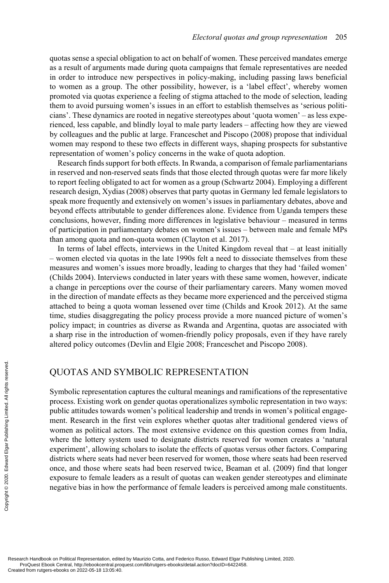quotas sense a special obligation to act on behalf of women. These perceived mandates emerge as a result of arguments made during quota campaigns that female representatives are needed in order to introduce new perspectives in policy-making, including passing laws beneficial to women as a group. The other possibility, however, is a 'label effect', whereby women promoted via quotas experience a feeling of stigma attached to the mode of selection, leading them to avoid pursuing women's issues in an effort to establish themselves as 'serious politicians'. These dynamics are rooted in negative stereotypes about 'quota women' – as less experienced, less capable, and blindly loyal to male party leaders – affecting how they are viewed by colleagues and the public at large. Franceschet and Piscopo (2008) propose that individual women may respond to these two effects in different ways, shaping prospects for substantive representation of women's policy concerns in the wake of quota adoption.

Research finds support for both effects. In Rwanda, a comparison of female parliamentarians in reserved and non-reserved seats finds that those elected through quotas were far more likely to report feeling obligated to act for women as a group (Schwartz 2004). Employing a different research design, Xydias (2008) observes that party quotas in Germany led female legislators to speak more frequently and extensively on women's issues in parliamentary debates, above and beyond effects attributable to gender differences alone. Evidence from Uganda tempers these conclusions, however, finding more differences in legislative behaviour – measured in terms of participation in parliamentary debates on women's issues – between male and female MPs than among quota and non-quota women (Clayton et al. 2017).

In terms of label effects, interviews in the United Kingdom reveal that – at least initially – women elected via quotas in the late 1990s felt a need to dissociate themselves from these measures and women's issues more broadly, leading to charges that they had 'failed women' (Childs 2004). Interviews conducted in later years with these same women, however, indicate a change in perceptions over the course of their parliamentary careers. Many women moved in the direction of mandate effects as they became more experienced and the perceived stigma attached to being a quota woman lessened over time (Childs and Krook 2012). At the same time, studies disaggregating the policy process provide a more nuanced picture of women's policy impact; in countries as diverse as Rwanda and Argentina, quotas are associated with a sharp rise in the introduction of women-friendly policy proposals, even if they have rarely altered policy outcomes (Devlin and Elgie 2008; Franceschet and Piscopo 2008).

# QUOTAS AND SYMBOLIC REPRESENTATION

Symbolic representation captures the cultural meanings and ramifications of the representative process. Existing work on gender quotas operationalizes symbolic representation in two ways: public attitudes towards women's political leadership and trends in women's political engagement. Research in the first vein explores whether quotas alter traditional gendered views of women as political actors. The most extensive evidence on this question comes from India, where the lottery system used to designate districts reserved for women creates a 'natural experiment', allowing scholars to isolate the effects of quotas versus other factors. Comparing districts where seats had never been reserved for women, those where seats had been reserved once, and those where seats had been reserved twice, Beaman et al. (2009) find that longer exposure to female leaders as a result of quotas can weaken gender stereotypes and eliminate negative bias in how the performance of female leaders is perceived among male constituents. Execute the content of the presentation of the presentation of the content of the content of the copyright of the copyright experiment, allowing the copyright experiment, allowing districts where eeas has once, and those w

Research Handbook on Political Representation, edited by Maurizio Cotta, and Federico Russo, Edward Elgar Publishing Limited, 2020. ProQuest Ebook Central, http://ebookcentral.proquest.com/lib/rutgers-ebooks/detail.action?docID=6422458.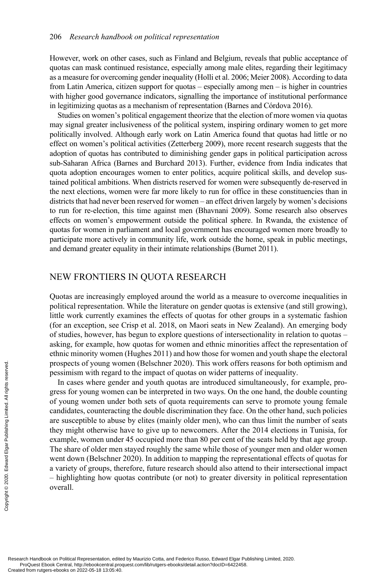However, work on other cases, such as Finland and Belgium, reveals that public acceptance of quotas can mask continued resistance, especially among male elites, regarding their legitimacy as a measure for overcoming gender inequality (Holli et al. 2006; Meier 2008). According to data from Latin America, citizen support for quotas – especially among men – is higher in countries with higher good governance indicators, signalling the importance of institutional performance in legitimizing quotas as a mechanism of representation (Barnes and Córdova 2016).

Studies on women's political engagement theorize that the election of more women via quotas may signal greater inclusiveness of the political system, inspiring ordinary women to get more politically involved. Although early work on Latin America found that quotas had little or no effect on women's political activities (Zetterberg 2009), more recent research suggests that the adoption of quotas has contributed to diminishing gender gaps in political participation across sub-Saharan Africa (Barnes and Burchard 2013). Further, evidence from India indicates that quota adoption encourages women to enter politics, acquire political skills, and develop sustained political ambitions. When districts reserved for women were subsequently de-reserved in the next elections, women were far more likely to run for office in these constituencies than in districts that had never been reserved for women – an effect driven largely by women's decisions to run for re-election, this time against men (Bhavnani 2009). Some research also observes effects on women's empowerment outside the political sphere. In Rwanda, the existence of quotas for women in parliament and local government has encouraged women more broadly to participate more actively in community life, work outside the home, speak in public meetings, and demand greater equality in their intimate relationships (Burnet 2011).

# NEW FRONTIERS IN QUOTA RESEARCH

Quotas are increasingly employed around the world as a measure to overcome inequalities in political representation. While the literature on gender quotas is extensive (and still growing), little work currently examines the effects of quotas for other groups in a systematic fashion (for an exception, see Crisp et al. 2018, on Maori seats in New Zealand). An emerging body of studies, however, has begun to explore questions of intersectionality in relation to quotas – asking, for example, how quotas for women and ethnic minorities affect the representation of ethnic minority women (Hughes 2011) and how those for women and youth shape the electoral prospects of young women (Belschner 2020). This work offers reasons for both optimism and pessimism with regard to the impact of quotas on wider patterns of inequality.

In cases where gender and youth quotas are introduced simultaneously, for example, progress for young women can be interpreted in two ways. On the one hand, the double counting of young women under both sets of quota requirements can serve to promote young female candidates, counteracting the double discrimination they face. On the other hand, such policies are susceptible to abuse by elites (mainly older men), who can thus limit the number of seats they might otherwise have to give up to newcomers. After the 2014 elections in Tunisia, for example, women under 45 occupied more than 80 per cent of the seats held by that age group. The share of older men stayed roughly the same while those of younger men and older women went down (Belschner 2020). In addition to mapping the representational effects of quotas for a variety of groups, therefore, future research should also attend to their intersectional impact – highlighting how quotas contribute (or not) to greater diversity in political representation overall. Prospects of young worked in the regard of positions with regard of young women of young women under candidates, counteraction are susceptible to abus they might otherwise Pexample, women under The share of older men went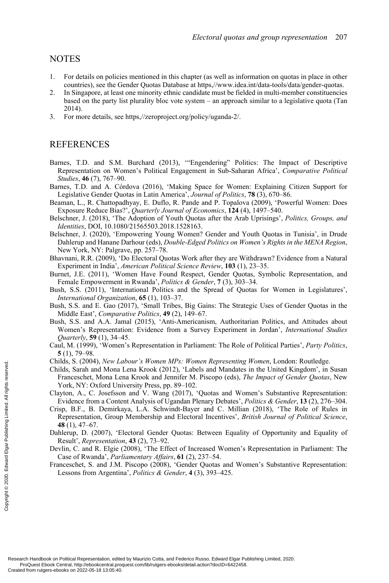## NOTES

- 1. For details on policies mentioned in this chapter (as well as information on quotas in place in other countries), see the Gender Quotas Database at https,//www.idea.int/data-tools/data/gender-quotas.
- 2. In Singapore, at least one minority ethnic candidate must be fielded in multi-member constituencies based on the party list plurality bloc vote system – an approach similar to a legislative quota (Tan 2014).
- 3. For more details, see https,//zeroproject.org/policy/uganda-2/.

# **REFERENCES**

- Barnes, T.D. and S.M. Burchard (2013), '"Engendering" Politics: The Impact of Descriptive Representation on Women's Political Engagement in Sub-Saharan Africa', *Comparative Political Studies*, **46** (7), 767–90.
- Barnes, T.D. and A. Córdova (2016), 'Making Space for Women: Explaining Citizen Support for Legislative Gender Quotas in Latin America', *Journal of Politics*, **78** (3), 670–86.
- Beaman, L., R. Chattopadhyay, E. Duflo, R. Pande and P. Topalova (2009), 'Powerful Women: Does Exposure Reduce Bias?', *Quarterly Journal of Economics*, **124** (4), 1497–540.
- Belschner, J. (2018), 'The Adoption of Youth Quotas after the Arab Uprisings', *Politics, Groups, and Identities*, DOI, 10.1080/21565503.2018.1528163.
- Belschner, J. (2020), 'Empowering Young Women? Gender and Youth Quotas in Tunisia', in Drude Dahlerup and Hanane Darhour (eds), *Double-Edged Politics on Women's Rights in the MENA Region*, New York, NY: Palgrave, pp. 257–78.
- Bhavnani, R.R. (2009), 'Do Electoral Quotas Work after they are Withdrawn? Evidence from a Natural Experiment in India', *American Political Science Review*, **103** (1), 23–35.
- Burnet, J.E. (2011), 'Women Have Found Respect, Gender Quotas, Symbolic Representation, and Female Empowerment in Rwanda', *Politics & Gender*, **7** (3), 303–34.
- Bush, S.S. (2011), 'International Politics and the Spread of Quotas for Women in Legislatures', *International Organization*, **65** (1), 103–37.
- Bush, S.S. and E. Gao (2017), 'Small Tribes, Big Gains: The Strategic Uses of Gender Quotas in the Middle East', *Comparative Politics*, **49** (2), 149–67.
- Bush, S.S. and A.A. Jamal (2015), 'Anti-Americanism, Authoritarian Politics, and Attitudes about Women's Representation: Evidence from a Survey Experiment in Jordan', *International Studies Quarterly*, **59** (1), 34–45.
- Caul, M. (1999), 'Women's Representation in Parliament: The Role of Political Parties', *Party Politics*, **5** (1), 79–98.
- Childs, S. (2004), *New Labour's Women MPs: Women Representing Women*, London: Routledge.
- Childs, Sarah and Mona Lena Krook (2012), 'Labels and Mandates in the United Kingdom', in Susan Franceschet, Mona Lena Krook and Jennifer M. Piscopo (eds), *The Impact of Gender Quotas*, New York, NY: Oxford University Press, pp. 89–102.
- Clayton, A., C. Josefsson and V. Wang (2017), 'Quotas and Women's Substantive Representation: Evidence from a Content Analysis of Ugandan Plenary Debates', *Politics & Gender*, **13** (2), 276–304.
- Crisp, B.F., B. Demirkaya, L.A. Schwindt-Bayer and C. Millian (2018), 'The Role of Rules in Representation, Group Membership and Electoral Incentives', *British Journal of Political Science*, **48** (1), 47–67. Franceschet, Monal Leaders-ebooks on Political Representation, edited from rutgers-ebooks on 2022-05-18 13:05:40.<br>
Created from rutgers-ebooks on 2022-05-18 13:05:40.<br>
Created from rutgers-ebooks on 2020-05-18 13:05:40.<br>
	- Dahlerup, D. (2007), 'Electoral Gender Quotas: Between Equality of Opportunity and Equality of Result', *Representation*, **43** (2), 73–92.
	- Devlin, C. and R. Elgie (2008), 'The Effect of Increased Women's Representation in Parliament: The Case of Rwanda', *Parliamentary Affairs*, **61** (2), 237–54.
	- Franceschet, S. and J.M. Piscopo (2008), 'Gender Quotas and Women's Substantive Representation: Lessons from Argentina', *Politics & Gender*, **4** (3), 393–425.

Research Handbook on Political Representation, edited by Maurizio Cotta, and Federico Russo, Edward Elgar Publishing Limited, 2020. ProQuest Ebook Central, http://ebookcentral.proquest.com/lib/rutgers-ebooks/detail.action?docID=6422458.<br>Created from rutgers-ebooks on 2022-05-18 13:05:40.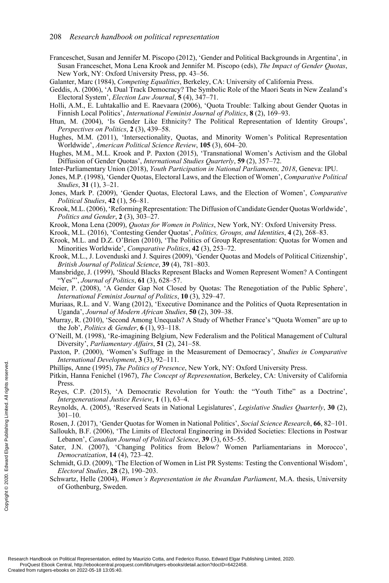Franceschet, Susan and Jennifer M. Piscopo (2012), 'Gender and Political Backgrounds in Argentina', in Susan Franceschet, Mona Lena Krook and Jennifer M. Piscopo (eds), *The Impact of Gender Quotas*, New York, NY: Oxford University Press, pp. 43–56.

Galanter, Marc (1984), *Competing Equalities*, Berkeley, CA: University of California Press.

- Geddis, A. (2006), 'A Dual Track Democracy? The Symbolic Role of the Maori Seats in New Zealand's Electoral System', *Election Law Journal*, **5** (4), 347–71.
- Holli, A.M., E. Luhtakallio and E. Raevaara (2006), 'Quota Trouble: Talking about Gender Quotas in Finnish Local Politics', *International Feminist Journal of Politics*, **8** (2), 169–93.
- Htun, M. (2004), 'Is Gender Like Ethnicity? The Political Representation of Identity Groups', *Perspectives on Politics*, **2** (3), 439–58.
- Hughes, M.M. (2011), 'Intersectionality, Quotas, and Minority Women's Political Representation Worldwide', *American Political Science Review*, **105** (3), 604–20.
- Hughes, M.M., M.L. Krook and P. Paxton (2015), 'Transnational Women's Activism and the Global Diffusion of Gender Quotas', *International Studies Quarterly*, **59** (2), 357–72.
- Inter-Parliamentary Union (2018), *Youth Participation in National Parliaments, 2018*, Geneva: IPU.
- Jones, M.P. (1998), 'Gender Quotas, Electoral Laws, and the Election of Women', *Comparative Political Studies*, **31** (1), 3–21.
- Jones, Mark P. (2009), 'Gender Quotas, Electoral Laws, and the Election of Women', *Comparative Political Studies*, **42** (1), 56–81.
- Krook, M.L. (2006), 'Reforming Representation: The Diffusion of Candidate Gender Quotas Worldwide', *Politics and Gender*, **2** (3), 303–27.
- Krook, Mona Lena (2009), *Quotas for Women in Politics*, New York, NY: Oxford University Press.
- Krook, M.L. (2016), 'Contesting Gender Quotas', *Politics, Groups, and Identities*, **4** (2), 268–83.
- Krook, M.L. and D.Z. O'Brien (2010), 'The Politics of Group Representation: Quotas for Women and Minorities Worldwide', *Comparative Politics*, **42** (3), 253–72.
- Krook, M.L., J. Lovenduski and J. Squires (2009), 'Gender Quotas and Models of Political Citizenship', *British Journal of Political Science*, **39** (4), 781–803.
- Mansbridge, J. (1999), 'Should Blacks Represent Blacks and Women Represent Women? A Contingent "Yes"', *Journal of Politics*, **61** (3), 628–57.
- Meier, P. (2008), 'A Gender Gap Not Closed by Quotas: The Renegotiation of the Public Sphere', *International Feminist Journal of Politics*, **10** (3), 329–47.
- Muriaas, R.L. and V. Wang (2012), 'Executive Dominance and the Politics of Quota Representation in Uganda', *Journal of Modern African Studies*, **50** (2), 309–38.
- Murray, R. (2010), 'Second Among Unequals? A Study of Whether France's "Quota Women" are up to the Job', *Politics & Gender*, **6** (1), 93–118.
- O'Neill, M. (1998), 'Re-imagining Belgium, New Federalism and the Political Management of Cultural Diversity', *Parliamentary Affairs*, **51** (2), 241–58.
- Paxton, P. (2000), 'Women's Suffrage in the Measurement of Democracy', *Studies in Comparative International Development*, **3** (3), 92–111.
- Phillips, Anne (1995), *The Politics of Presence*, New York, NY: Oxford University Press.
- Pitkin, Hanna Fenichel (1967), *The Concept of Representation*, Berkeley, CA: University of California **Press**
- Reyes, C.P. (2015), 'A Democratic Revolution for Youth: the "Youth Tithe" as a Doctrine', *Intergenerational Justice Review*, **1** (1), 63–4.
- Reynolds, A. (2005), 'Reserved Seats in National Legislatures', *Legislative Studies Quarterly*, **30** (2), 301–10.
- Rosen, J. (2017), 'Gender Quotas for Women in National Politics', *Social Science Research*, **66**, 82–101.
- Salloukh, B.F. (2006), 'The Limits of Electoral Engineering in Divided Societies: Elections in Postwar Lebanon', *Canadian Journal of Political Science*, **39** (3), 635–55. Examples and the proposed of Created from rutgers-ebooks on 2022-05-18 13:05:40. Created from rutgers-ebooks on 2022-05-18 13:05:40. Created from rutgers-ebooks on 2022-05-18 13:05:40. Created from rutgers-ebooks on 2022-
	- Sater, J.N. (2007), 'Changing Politics from Below? Women Parliamentarians in Morocco', *Democratization*, **14** (4), 723–42.
	- Schmidt, G.D. (2009), 'The Election of Women in List PR Systems: Testing the Conventional Wisdom', *Electoral Studies*, **28** (2), 190–203.
	- Schwartz, Helle (2004), *Women's Representation in the Rwandan Parliament*, M.A. thesis, University of Gothenburg, Sweden.

Research Handbook on Political Representation, edited by Maurizio Cotta, and Federico Russo, Edward Elgar Publishing Limited, 2020. ProQuest Ebook Central, http://ebookcentral.proquest.com/lib/rutgers-ebooks/detail.action?docID=6422458.<br>Created from rutgers-ebooks on 2022-05-18 13:05:40.